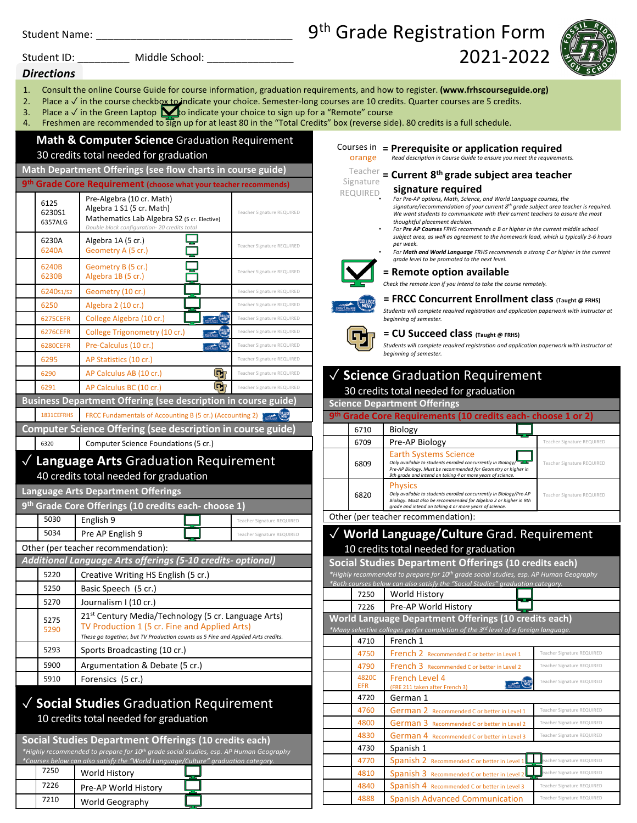| <b>Student Name:</b> |  |
|----------------------|--|
|                      |  |

#### Student ID: Middle School:

# 9<sup>th</sup> Grade Registration Form



### *Directions*

- 1. Consult the online Course Guide for course information, graduation requirements, and how to register. **(www.frhscourseguide.org)**
- 2. Place a √ in the course checkbox to indicate your choice. Semester-long courses are 10 credits. Quarter courses are 5 credits.
- 3. Place a  $\sqrt{ }$  in the Green Laptop  $\blacktriangleright$  o indicate your choice to sign up for a "Remote" course
- 4. Freshmen are recommended to sign up for at least 80 in the "Total Credits" box (reverse side). 80 credits is a full schedule.

## **Math & Computer Science** Graduation Requirement 30 credits total needed for graduation

### **Math Department Offerings (see flow charts in course guide)**

|                                             | 9th Grade Core Requirement (choose what your teacher recommends)                                                                                                                                    |                            |
|---------------------------------------------|-----------------------------------------------------------------------------------------------------------------------------------------------------------------------------------------------------|----------------------------|
| 6125<br>6230S1<br>6357ALG                   | Pre-Algebra (10 cr. Math)<br>Algebra 1 S1 (5 cr. Math)<br>Mathematics Lab Algebra S2 (5 cr. Elective)<br>Double block configuration- 20 credits total                                               | Teacher Signature REQUIRED |
| 6230A<br>6240A                              | Algebra 1A (5 cr.)<br>Geometry A (5 cr.)                                                                                                                                                            | Teacher Signature REQUIRED |
| 6240B<br>6230B                              | Geometry B (5 cr.)<br>Algebra 1B (5 cr.)                                                                                                                                                            | Teacher Signature REQUIRED |
| 6240s1/s2                                   | Geometry (10 cr.)                                                                                                                                                                                   | Teacher Signature REQUIRED |
| 6250                                        | Algebra 2 (10 cr.)                                                                                                                                                                                  | Teacher Signature REQUIRED |
| <b>6275CEFR</b>                             | <b>EQLLESE</b><br>College Algebra (10 cr.)                                                                                                                                                          | Teacher Signature REQUIRED |
| <b>6276CEFR</b>                             | <b>COLLEGE</b><br>College Trigonometry (10 cr.)                                                                                                                                                     | Teacher Signature REQUIRED |
| <b>6280CEFR</b>                             | <b>COLLEGE</b><br>Pre-Calculus (10 cr.)                                                                                                                                                             | Teacher Signature REQUIRED |
| 6295                                        | AP Statistics (10 cr.)                                                                                                                                                                              | Teacher Signature REQUIRED |
| 6290                                        | AP Calculus AB (10 cr.)<br>$\mathbf{G}$                                                                                                                                                             | Teacher Signature REQUIRED |
| 6291                                        | Œr<br>AP Calculus BC (10 cr.)                                                                                                                                                                       | Teacher Signature REQUIRED |
|                                             | <b>Business Department Offering (see description in course guide)</b>                                                                                                                               |                            |
| 1831CEFRHS                                  | FRCC Fundamentals of Accounting B (5 cr.) (Accounting 2)                                                                                                                                            |                            |
|                                             | Computer Science Offering (see description in course guide)                                                                                                                                         |                            |
| 6320                                        | Computer Science Foundations (5 cr.)                                                                                                                                                                |                            |
| <b>Language Arts Graduation Requirement</b> |                                                                                                                                                                                                     |                            |
|                                             | 40 credits total needed for graduation                                                                                                                                                              |                            |
|                                             | <b>Language Arts Department Offerings</b>                                                                                                                                                           |                            |
|                                             | 9 <sup>th</sup> Grade Core Offerings (10 credits each- choose 1)                                                                                                                                    |                            |
| 5030                                        | English 9                                                                                                                                                                                           | Teacher Signature REQUIRED |
| 5034                                        | Pre AP English 9                                                                                                                                                                                    | Teacher Signature REQUIRED |
|                                             | Other (per teacher recommendation):                                                                                                                                                                 |                            |
|                                             | Additional Language Arts offerings (5-10 credits- optional)                                                                                                                                         |                            |
| 5220                                        | Creative Writing HS English (5 cr.)                                                                                                                                                                 |                            |
| 5250                                        | Basic Speech (5 cr.)                                                                                                                                                                                |                            |
| 5270                                        | Journalism I (10 cr.)                                                                                                                                                                               |                            |
| 5275<br>5290                                | 21 <sup>st</sup> Century Media/Technology (5 cr. Language Arts)<br>TV Production 1 (5 cr. Fine and Applied Arts)<br>These go together, but TV Production counts as 5 Fine and Applied Arts credits. |                            |
| 5293                                        | Sports Broadcasting (10 cr.)                                                                                                                                                                        |                            |
| 5900                                        | Argumentation & Debate (5 cr.)                                                                                                                                                                      |                            |
| 5910                                        | Forensics (5 cr.)                                                                                                                                                                                   |                            |

## ✓ **Social Studies** Graduation Requirement 10 credits total needed for graduation

**Social Studies Department Offerings (10 credits each)** *\*Highly recommended to prepare for 10th grade social studies, esp. AP Human Geography \*Courses below can also satisfy the "World Language/Culture" graduation category.* 7250 World History

| 7250 | World History        |  |
|------|----------------------|--|
| 7226 | Pre-AP World History |  |
| 7210 | World Geography      |  |

### Courses in **= Prerequisite or application required**

orange *Read description in Course Guide to ensure you meet the requirements.*

## **= Current 8th grade subject area teacher** Teacher

#### **signature required** Signature

#### • *For Pre-AP options, Math, Science, and World Language courses, the signature/recommendation of your current 8th grade subject area teacher is required. We want students to communicate with their current teachers to assure the most thoughtful placement decision.* REQUIRED

2021-2022

- *For Pre AP Courses FRHS recommends a B or higher in the current middle school subject area, as well as agreement to the homework load, which is typically 3-6 hours per week.*
- *For Math and World Language FRHS recommends a strong C or higher in the current grade level to be promoted to the next level.*



#### **= Remote option available**

*Check the remote icon if you intend to take the course remotely.*

#### **= FRCC Concurrent Enrollment class (Taught @ FRHS)**



*Students will complete required registration and application paperwork with instructor at beginning of semester.*

#### **= CU Succeed class (Taught @ FRHS)**

*Students will complete required registration and application paperwork with instructor at beginning of semester.*

## ✓ **Science** Graduation Requirement 30 credits total needed for graduation **Science Department Offerings**

| 9 <sup>th</sup> Grade Core Requirements (10 credits each-choose 1 or 2) |      |                                                                                                                                                                                                                            |                            |
|-------------------------------------------------------------------------|------|----------------------------------------------------------------------------------------------------------------------------------------------------------------------------------------------------------------------------|----------------------------|
|                                                                         | 6710 | Biology                                                                                                                                                                                                                    |                            |
|                                                                         | 6709 | Pre-AP Biology                                                                                                                                                                                                             | Teacher Signature REQUIRED |
|                                                                         | 6809 | <b>Earth Systems Science</b><br>Only available to students enrolled concurrently in Biology<br>Pre-AP Biology. Must be recommended for Geometry or higher in<br>9th grade and intend on taking 4 or more years of science. | Teacher Signature REQUIRED |
|                                                                         | 6820 | <b>Physics</b><br>Only available to students enrolled concurrently in Biology/Pre-AP<br>Biology. Must also be recommended for Algebra 2 or higher in 9th<br>grade and intend on taking 4 or more years of science.         | Teacher Signature REQUIRED |

Other (per teacher recommendation):

## ✓ **World Language/Culture** Grad. Requirement 10 credits total needed for graduation

**Social Studies Department Offerings (10 credits each)**

*\*Highly recommended to prepare for 10th grade social studies, esp. AP Human Geography \*Both courses below can also satisfy the "Social Studies" graduation category.*

| 7250 | World History                                                                                  |  |
|------|------------------------------------------------------------------------------------------------|--|
| 7226 | Pre-AP World History                                                                           |  |
|      | World Language Department Offerings (10 credits each)                                          |  |
|      | *Many selective colleges prefer completion of the 3 <sup>rd</sup> level of a foreign language. |  |

| 4710                | French 1                                                                               |                            |
|---------------------|----------------------------------------------------------------------------------------|----------------------------|
| 4750                | French 2 Recommended C or better in Level 1                                            | Teacher Signature REQUIRED |
| 4790                | French 3 Recommended C or better in Level 2                                            | Teacher Signature REQUIRED |
| 4820C<br><b>EFR</b> | French Level 4<br><b>OLLEGE</b><br><b>HOST RANCE</b><br>(FRE 211 taken after French 3) | Teacher Signature REQUIRED |
| 4720                | German 1                                                                               |                            |
| 4760                | German 2 Recommended C or better in Level 1                                            | Teacher Signature REQUIRED |
| 4800                | German 3 Recommended C or better in Level 2                                            | Teacher Signature REQUIRED |
| 4830                | German 4 Recommended C or better in Level 3                                            | Teacher Signature REQUIRED |
| 4730                | Spanish 1                                                                              |                            |
| 4770                | Spanish 2 Recommended C or better in Level 1                                           | eacher Signature REQUIRED  |
| 4810                | Spanish 3 Recommended C or better in Level 2                                           | eacher Signature REQUIRED  |
| 4840                | Spanish 4 Recommended C or better in Level 3                                           | Teacher Signature REQUIRED |
| 4888                | <b>Spanish Advanced Communication</b>                                                  | Teacher Signature REQUIRED |